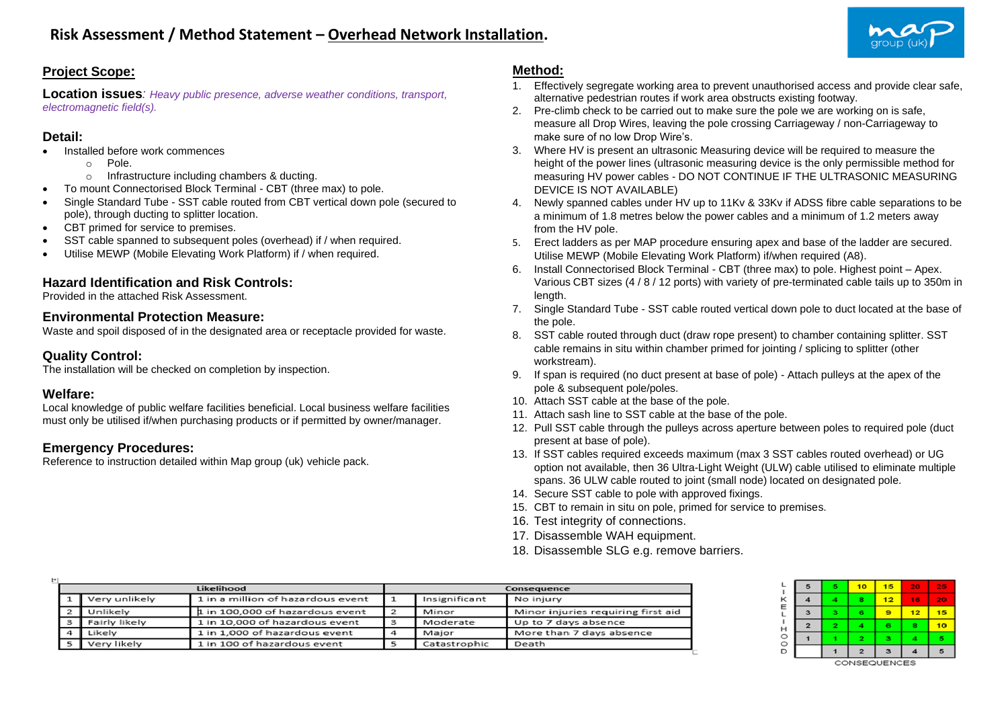

## **Project Scope:**

**Location issues***: Heavy public presence, adverse weather conditions, transport, electromagnetic field(s).*

## **Detail:**

- Installed before work commences
	- o Pole.
	- o Infrastructure including chambers & ducting.
	- To mount Connectorised Block Terminal CBT (three max) to pole.
- Single Standard Tube SST cable routed from CBT vertical down pole (secured to pole), through ducting to splitter location.
- CBT primed for service to premises.
- SST cable spanned to subsequent poles (overhead) if / when required.
- Utilise MEWP (Mobile Elevating Work Platform) if / when required.

# **Hazard Identification and Risk Controls:**

Provided in the attached Risk Assessment.

#### **Environmental Protection Measure:**

Waste and spoil disposed of in the designated area or receptacle provided for waste.

### **Quality Control:**

The installation will be checked on completion by inspection.

#### **Welfare:**

Local knowledge of public welfare facilities beneficial. Local business welfare facilities must only be utilised if/when purchasing products or if permitted by owner/manager.

## **Emergency Procedures:**

Reference to instruction detailed within Map group (uk) vehicle pack.

# **Method:**

- 1. Effectively segregate working area to prevent unauthorised access and provide clear safe, alternative pedestrian routes if work area obstructs existing footway.
- 2. Pre-climb check to be carried out to make sure the pole we are working on is safe, measure all Drop Wires, leaving the pole crossing Carriageway / non-Carriageway to make sure of no low Drop Wire's.
- 3. Where HV is present an ultrasonic Measuring device will be required to measure the height of the power lines (ultrasonic measuring device is the only permissible method for measuring HV power cables - DO NOT CONTINUE IF THE ULTRASONIC MEASURING DEVICE IS NOT AVAILABLE)
- 4. Newly spanned cables under HV up to 11Kv & 33Kv if ADSS fibre cable separations to be a minimum of 1.8 metres below the power cables and a minimum of 1.2 meters away from the HV pole.
- 5. Erect ladders as per MAP procedure ensuring apex and base of the ladder are secured. Utilise MEWP (Mobile Elevating Work Platform) if/when required (A8).
- 6. Install Connectorised Block Terminal CBT (three max) to pole. Highest point Apex. Various CBT sizes (4 / 8 / 12 ports) with variety of pre-terminated cable tails up to 350m in length.
- 7. Single Standard Tube SST cable routed vertical down pole to duct located at the base of the pole.
- 8. SST cable routed through duct (draw rope present) to chamber containing splitter. SST cable remains in situ within chamber primed for jointing / splicing to splitter (other workstream).
- 9. If span is required (no duct present at base of pole) Attach pulleys at the apex of the pole & subsequent pole/poles.
- 10. Attach SST cable at the base of the pole.
- 11. Attach sash line to SST cable at the base of the pole.
- 12. Pull SST cable through the pulleys across aperture between poles to required pole (duct present at base of pole).
- 13. If SST cables required exceeds maximum (max 3 SST cables routed overhead) or UG option not available, then 36 Ultra-Light Weight (ULW) cable utilised to eliminate multiple spans. 36 ULW cable routed to joint (small node) located on designated pole.
- 14. Secure SST cable to pole with approved fixings.
- 15. CBT to remain in situ on pole, primed for service to premises.
- 16. Test integrity of connections.
- 17. Disassemble WAH equipment.
- 18. Disassemble SLG e.g. remove barriers.

|  | Likelihood<br>Consequence |                                   |  |               |                                    |  |  | 10 <sup>2</sup> | $15-1$          | 20              |  |
|--|---------------------------|-----------------------------------|--|---------------|------------------------------------|--|--|-----------------|-----------------|-----------------|--|
|  | Very unlikely             | 1 in a million of hazardous event |  | Insignificant | No injury                          |  |  |                 | 12 <sup>1</sup> | 16              |  |
|  | Unlikely                  | 1 in 100,000 of hazardous event   |  | Minor         | Minor injuries requiring first aid |  |  |                 | $\bullet$       | 12 <sub>1</sub> |  |
|  | Fairly likely             | 1 in 10,000 of hazardous event    |  | Moderate      | Up to 7 days absence               |  |  |                 |                 | 8.              |  |
|  | Likelv                    | 1 in 1,000 of hazardous event     |  | Major         | More than 7 days absence           |  |  |                 |                 |                 |  |
|  | Very likely               | 1 in 100 of hazardous event       |  | Catastrophic  | Death                              |  |  |                 |                 |                 |  |
|  |                           |                                   |  |               |                                    |  |  |                 |                 |                 |  |



**CONSEQUENCES**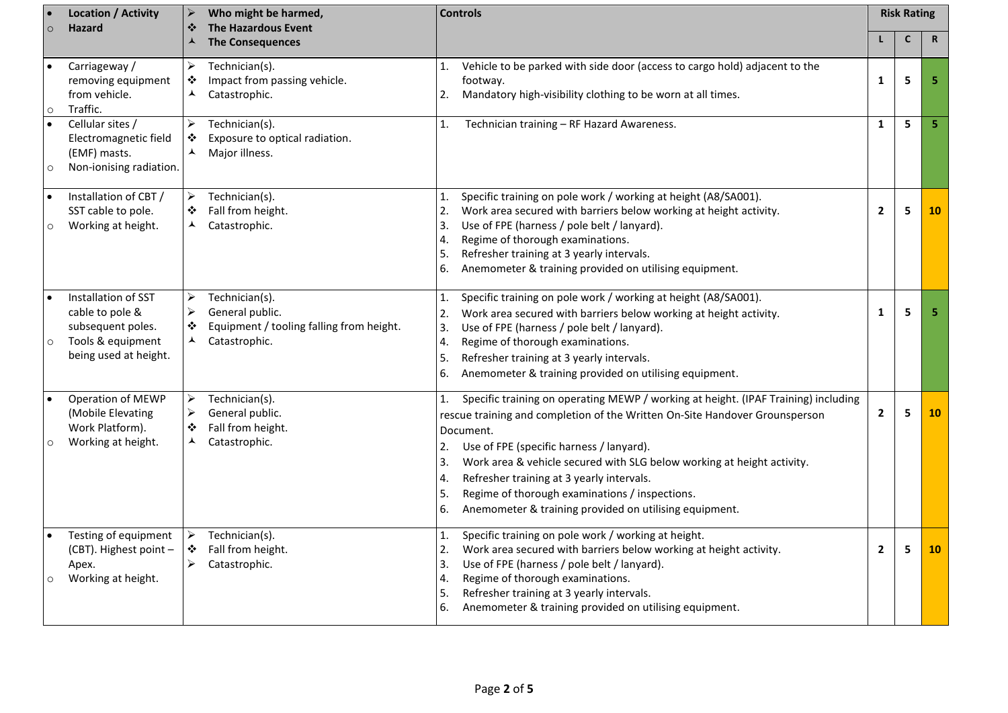|          | <b>Location / Activity</b><br>Hazard                                                                      | ⋗<br>❖                                                   | Who might be harmed,<br><b>Controls</b><br><b>The Hazardous Event</b>                          |                                  |                                                                                                                                                                                                                                                                                                                                                                                                                                                               | <b>Risk Rating</b> |              |             |
|----------|-----------------------------------------------------------------------------------------------------------|----------------------------------------------------------|------------------------------------------------------------------------------------------------|----------------------------------|---------------------------------------------------------------------------------------------------------------------------------------------------------------------------------------------------------------------------------------------------------------------------------------------------------------------------------------------------------------------------------------------------------------------------------------------------------------|--------------------|--------------|-------------|
|          |                                                                                                           |                                                          | <b>The Consequences</b>                                                                        |                                  |                                                                                                                                                                                                                                                                                                                                                                                                                                                               |                    | $\mathsf{C}$ | $\mathbf R$ |
| $\Omega$ | Carriageway /<br>removing equipment<br>from vehicle.<br>Traffic.                                          | ➤<br>❖<br>⅄                                              | Technician(s).<br>Impact from passing vehicle.<br>Catastrophic.                                | 1.<br>2.                         | Vehicle to be parked with side door (access to cargo hold) adjacent to the<br>footway.<br>Mandatory high-visibility clothing to be worn at all times.                                                                                                                                                                                                                                                                                                         | 1                  | 5            | 5           |
| $\circ$  | Cellular sites /<br>Electromagnetic field<br>(EMF) masts.<br>Non-ionising radiation.                      | $\blacktriangleright$<br>❖<br>ᄉ                          | Technician(s).<br>Exposure to optical radiation.<br>Major illness.                             | 1.                               | Technician training - RF Hazard Awareness.                                                                                                                                                                                                                                                                                                                                                                                                                    | $\mathbf{1}$       | 5            | 5           |
| O        | Installation of CBT /<br>SST cable to pole.<br>Working at height.                                         | ➤<br>❖<br>▲                                              | Technician(s).<br>Fall from height.<br>Catastrophic.                                           | 1.<br>2.<br>3.<br>4.<br>5.<br>6. | Specific training on pole work / working at height (A8/SA001).<br>Work area secured with barriers below working at height activity.<br>Use of FPE (harness / pole belt / lanyard).<br>Regime of thorough examinations.<br>Refresher training at 3 yearly intervals.<br>Anemometer & training provided on utilising equipment.                                                                                                                                 | $\mathbf{2}$       | 5            | 10          |
| $\circ$  | Installation of SST<br>cable to pole &<br>subsequent poles.<br>Tools & equipment<br>being used at height. | $\blacktriangleright$<br>$\blacktriangleright$<br>❖<br>⅄ | Technician(s).<br>General public.<br>Equipment / tooling falling from height.<br>Catastrophic. | 1.<br>2.<br>3.<br>4.<br>5.<br>6. | Specific training on pole work / working at height (A8/SA001).<br>Work area secured with barriers below working at height activity.<br>Use of FPE (harness / pole belt / lanyard).<br>Regime of thorough examinations.<br>Refresher training at 3 yearly intervals.<br>Anemometer & training provided on utilising equipment.                                                                                                                                 | 1                  | 5            | 5           |
| $\circ$  | Operation of MEWP<br>(Mobile Elevating<br>Work Platform).<br>Working at height.                           | $\blacktriangleright$<br>$\blacktriangleright$<br>❖<br>⅄ | Technician(s).<br>General public.<br>Fall from height.<br>Catastrophic.                        | 1.<br>2.<br>3.<br>4.<br>5.<br>6. | Specific training on operating MEWP / working at height. (IPAF Training) including<br>rescue training and completion of the Written On-Site Handover Grounsperson<br>Document.<br>Use of FPE (specific harness / lanyard).<br>Work area & vehicle secured with SLG below working at height activity.<br>Refresher training at 3 yearly intervals.<br>Regime of thorough examinations / inspections.<br>Anemometer & training provided on utilising equipment. | $\mathbf{2}$       | 5            | 10          |
| $\circ$  | Testing of equipment<br>(CBT). Highest point -<br>Apex.<br>Working at height.                             | ➤<br>❖<br>$\blacktriangleright$                          | Technician(s).<br>Fall from height.<br>Catastrophic.                                           | 1.<br>2.<br>3.<br>4.<br>5.<br>6. | Specific training on pole work / working at height.<br>Work area secured with barriers below working at height activity.<br>Use of FPE (harness / pole belt / lanyard).<br>Regime of thorough examinations.<br>Refresher training at 3 yearly intervals.<br>Anemometer & training provided on utilising equipment.                                                                                                                                            | $\overline{2}$     | 5            | 10          |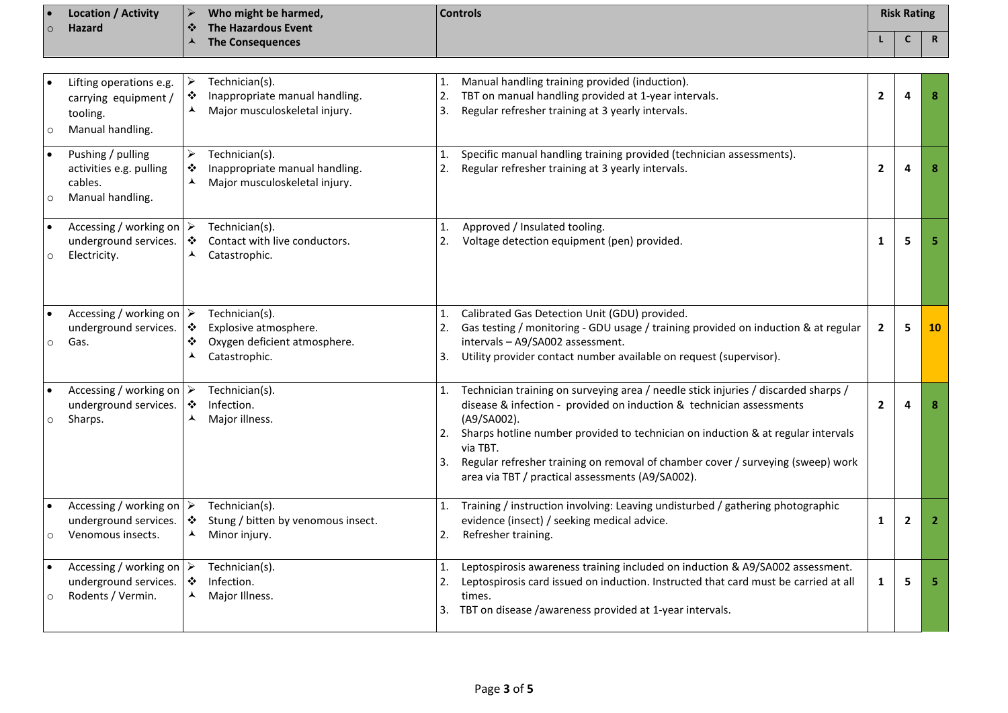| $\overline{\phantom{a}}$ | Location / Activity |                           | Who might be harmed,    | <b>Controls</b> | <b>Risk Rating</b> |          |
|--------------------------|---------------------|---------------------------|-------------------------|-----------------|--------------------|----------|
| $\circ$                  | <b>Hazard</b>       | $\rightarrow \rightarrow$ | The Hazardous Event     |                 |                    |          |
|                          |                     |                           | <b>The Consequences</b> |                 |                    | - 6<br>n |

| $\circ$  | Lifting operations e.g.<br>carrying equipment /<br>tooling.<br>Manual handling.       | ➤<br>❖<br>ᄉ                     | Technician(s).<br>Inappropriate manual handling.<br>Major musculoskeletal injury.        | 1.<br>2.<br>3.             | Manual handling training provided (induction).<br>TBT on manual handling provided at 1-year intervals.<br>Regular refresher training at 3 yearly intervals.                                                                                                                                                                                                                                                      | $\mathbf{2}$ | 4              | 8              |
|----------|---------------------------------------------------------------------------------------|---------------------------------|------------------------------------------------------------------------------------------|----------------------------|------------------------------------------------------------------------------------------------------------------------------------------------------------------------------------------------------------------------------------------------------------------------------------------------------------------------------------------------------------------------------------------------------------------|--------------|----------------|----------------|
| $\circ$  | Pushing / pulling<br>activities e.g. pulling<br>cables.<br>Manual handling.           | $\blacktriangleright$<br>❖<br>▲ | Technician(s).<br>Inappropriate manual handling.<br>Major musculoskeletal injury.        | 1.<br>2.                   | Specific manual handling training provided (technician assessments).<br>Regular refresher training at 3 yearly intervals.                                                                                                                                                                                                                                                                                        | $\mathbf{2}$ | 4              | 8              |
| $\circ$  | Accessing / working on $\triangleright$<br>underground services.<br>Electricity.      | ❖<br>⅄                          | Technician(s).<br>Contact with live conductors.<br>Catastrophic.                         | 1.<br>2.                   | Approved / Insulated tooling.<br>Voltage detection equipment (pen) provided.                                                                                                                                                                                                                                                                                                                                     | $\mathbf{1}$ | 5              | 5              |
| $\Omega$ | Accessing / working on<br>underground services.<br>Gas.                               | ➤<br>❖<br>❖                     | Technician(s).<br>Explosive atmosphere.<br>Oxygen deficient atmosphere.<br>Catastrophic. | $\mathbf{1}$ .<br>2.<br>3. | Calibrated Gas Detection Unit (GDU) provided.<br>Gas testing / monitoring - GDU usage / training provided on induction & at regular<br>intervals - A9/SA002 assessment.<br>Utility provider contact number available on request (supervisor).                                                                                                                                                                    | $\mathbf{2}$ | 5              | <b>10</b>      |
| $\circ$  | Accessing / working on $\triangleright$<br>underground services.<br>Sharps.           | $\bullet$<br>ᄉ                  | Technician(s).<br>Infection.<br>Major illness.                                           | $\mathbf{1}$ .<br>2.<br>3. | Technician training on surveying area / needle stick injuries / discarded sharps /<br>disease & infection - provided on induction & technician assessments<br>(A9/SA002).<br>Sharps hotline number provided to technician on induction & at regular intervals<br>via TBT.<br>Regular refresher training on removal of chamber cover / surveying (sweep) work<br>area via TBT / practical assessments (A9/SA002). | $\mathbf{2}$ | Δ              | 8              |
|          | Accessing / working on $\triangleright$<br>underground services.<br>Venomous insects. | ٠<br>▲                          | Technician(s).<br>Stung / bitten by venomous insect.<br>Minor injury.                    | 1.<br>2.                   | Training / instruction involving: Leaving undisturbed / gathering photographic<br>evidence (insect) / seeking medical advice.<br>Refresher training.                                                                                                                                                                                                                                                             | $\mathbf{1}$ | $\overline{2}$ | $\overline{2}$ |
| $\circ$  | Accessing / working on $\triangleright$<br>underground services.<br>Rodents / Vermin. | $\bullet$<br>▴                  | Technician(s).<br>Infection.<br>Major Illness.                                           | 1.<br>2.                   | Leptospirosis awareness training included on induction & A9/SA002 assessment.<br>Leptospirosis card issued on induction. Instructed that card must be carried at all<br>times.<br>3. TBT on disease /awareness provided at 1-year intervals.                                                                                                                                                                     | 1            | 5              | 5              |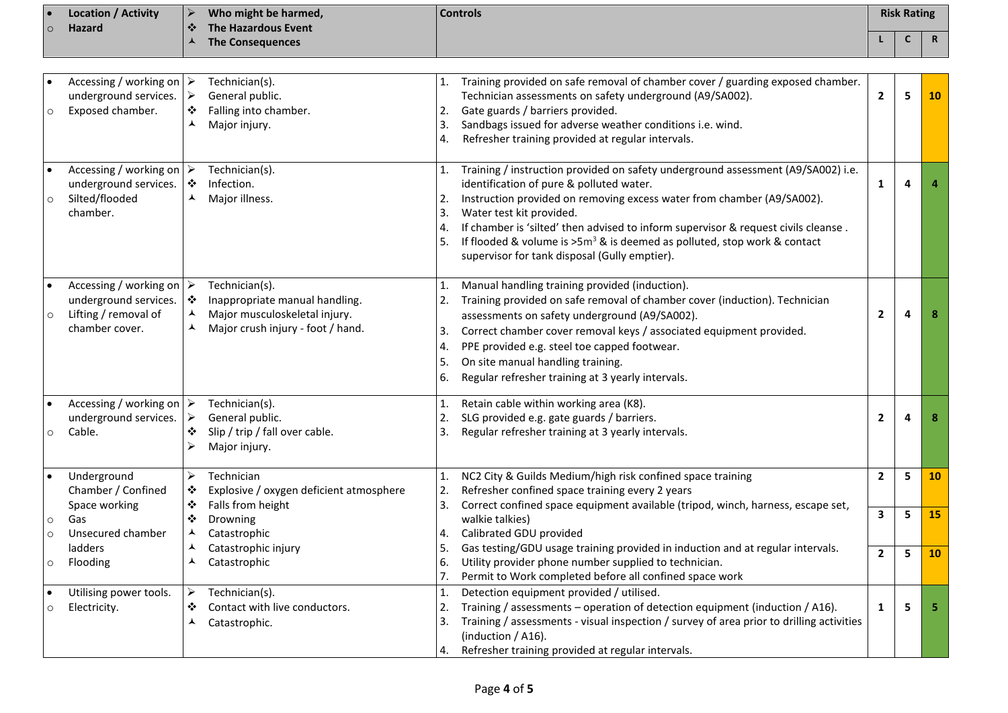| $\circ$      | Location / Activity<br>Hazard                                                                              | ➤<br>❖                          | Who might be harmed,<br><b>The Hazardous Event</b>                                                                     |                                  | <b>Controls</b>                                                                                                                                                                                                                                                                                                                                                                                                                                          |                | <b>Risk Rating</b> |             |
|--------------|------------------------------------------------------------------------------------------------------------|---------------------------------|------------------------------------------------------------------------------------------------------------------------|----------------------------------|----------------------------------------------------------------------------------------------------------------------------------------------------------------------------------------------------------------------------------------------------------------------------------------------------------------------------------------------------------------------------------------------------------------------------------------------------------|----------------|--------------------|-------------|
|              |                                                                                                            | ▲                               | <b>The Consequences</b>                                                                                                |                                  |                                                                                                                                                                                                                                                                                                                                                                                                                                                          |                | C                  | $\mathbf R$ |
|              |                                                                                                            |                                 |                                                                                                                        |                                  |                                                                                                                                                                                                                                                                                                                                                                                                                                                          |                |                    |             |
| O            | Accessing / working on $\triangleright$<br>underground services.<br>Exposed chamber.                       | ➤<br>❖<br>⋏                     | Technician(s).<br>General public.<br>Falling into chamber.<br>Major injury.                                            | 2.<br>3.<br>4.                   | Training provided on safe removal of chamber cover / guarding exposed chamber.<br>Technician assessments on safety underground (A9/SA002).<br>Gate guards / barriers provided.<br>Sandbags issued for adverse weather conditions i.e. wind.<br>Refresher training provided at regular intervals.                                                                                                                                                         | $\overline{2}$ | 5                  | <b>10</b>   |
| $\circ$      | Accessing / working on $\triangleright$<br>underground services.<br>Silted/flooded<br>chamber.             | ❖<br>⅄                          | Technician(s).<br>Infection.<br>Major illness.                                                                         | 1.<br>2.<br>3.<br>4.             | Training / instruction provided on safety underground assessment (A9/SA002) i.e.<br>identification of pure & polluted water.<br>Instruction provided on removing excess water from chamber (A9/SA002).<br>Water test kit provided.<br>If chamber is 'silted' then advised to inform supervisor & request civils cleanse.<br>If flooded & volume is $>5m^3$ & is deemed as polluted, stop work & contact<br>supervisor for tank disposal (Gully emptier). | 1              | 4                  |             |
| $\circ$      | Accessing / working on $\triangleright$<br>underground services.<br>Lifting / removal of<br>chamber cover. | ❖<br>⋏<br>⋏                     | Technician(s).<br>Inappropriate manual handling.<br>Major musculoskeletal injury.<br>Major crush injury - foot / hand. | 1.<br>2.<br>3.<br>4.<br>5.<br>6. | Manual handling training provided (induction).<br>Training provided on safe removal of chamber cover (induction). Technician<br>assessments on safety underground (A9/SA002).<br>Correct chamber cover removal keys / associated equipment provided.<br>PPE provided e.g. steel toe capped footwear.<br>On site manual handling training.<br>Regular refresher training at 3 yearly intervals.                                                           | $\overline{2}$ | 4                  |             |
| $\circ$      | Accessing / working on $\triangleright$<br>underground services.<br>Cable.                                 | ➤<br>❖<br>⋗                     | Technician(s).<br>General public.<br>Slip / trip / fall over cable.<br>Major injury.                                   | 1.<br>2.<br>3.                   | Retain cable within working area (K8).<br>SLG provided e.g. gate guards / barriers.<br>Regular refresher training at 3 yearly intervals.                                                                                                                                                                                                                                                                                                                 | $\overline{2}$ |                    |             |
|              | Underground<br>Chamber / Confined<br>Space working                                                         | ➤<br>❖<br>❖                     | Technician<br>Explosive / oxygen deficient atmosphere<br>Falls from height                                             | 1.<br>2.<br>3.                   | NC2 City & Guilds Medium/high risk confined space training<br>Refresher confined space training every 2 years<br>Correct confined space equipment available (tripod, winch, harness, escape set,                                                                                                                                                                                                                                                         | $\overline{2}$ | 5                  | <b>10</b>   |
| O<br>$\circ$ | Gas<br>Unsecured chamber                                                                                   | ❖<br>▴                          | Drowning<br>Catastrophic                                                                                               | 4.                               | walkie talkies)<br>Calibrated GDU provided                                                                                                                                                                                                                                                                                                                                                                                                               | 3              | 5                  | 15          |
| O            | ladders<br>Flooding                                                                                        | ▴                               | Catastrophic injury<br>Catastrophic                                                                                    | 5.<br>6.<br>7.                   | Gas testing/GDU usage training provided in induction and at regular intervals.<br>Utility provider phone number supplied to technician.<br>Permit to Work completed before all confined space work                                                                                                                                                                                                                                                       | $\overline{2}$ | 5                  | <b>10</b>   |
| $\circ$      | Utilising power tools.<br>Electricity.                                                                     | $\blacktriangleright$<br>❖<br>⋏ | Technician(s).<br>Contact with live conductors.<br>Catastrophic.                                                       | 1.<br>2.                         | Detection equipment provided / utilised.<br>Training / assessments - operation of detection equipment (induction / A16).<br>Training / assessments - visual inspection / survey of area prior to drilling activities<br>(induction / A16).<br>Refresher training provided at regular intervals.                                                                                                                                                          | 1              | 5                  |             |